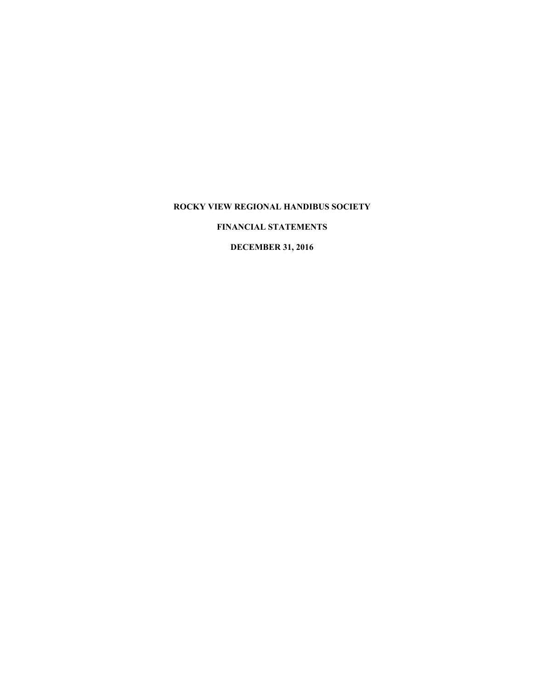# **FINANCIAL STATEMENTS**

# **DECEMBER 31, 2016**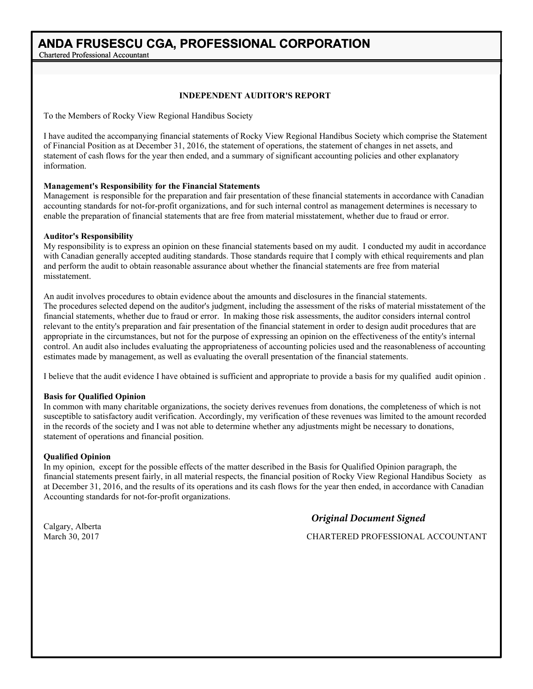# **ANDA FRUSESCU CGA, PROFESSIONAL CORPORATION**

Chartered Professional Accountant

# **INDEPENDENT AUDITOR'S REPORT**

To the Members of Rocky View Regional Handibus Society

I have audited the accompanying financial statements of Rocky View Regional Handibus Society which comprise the Statement of Financial Position as at December 31, 2016, the statement of operations, the statement of changes in net assets, and statement of cash flows for the year then ended, and a summary of significant accounting policies and other explanatory information.

## **Management's Responsibility for the Financial Statements**

Management is responsible for the preparation and fair presentation of these financial statements in accordance with Canadian accounting standards for not-for-profit organizations, and for such internal control as management determines is necessary to enable the preparation of financial statements that are free from material misstatement, whether due to fraud or error.

## **Auditor's Responsibility**

My responsibility is to express an opinion on these financial statements based on my audit. I conducted my audit in accordance with Canadian generally accepted auditing standards. Those standards require that I comply with ethical requirements and plan and perform the audit to obtain reasonable assurance about whether the financial statements are free from material misstatement.

An audit involves procedures to obtain evidence about the amounts and disclosures in the financial statements. The procedures selected depend on the auditor's judgment, including the assessment of the risks of material misstatement of the financial statements, whether due to fraud or error. In making those risk assessments, the auditor considers internal control relevant to the entity's preparation and fair presentation of the financial statement in order to design audit procedures that are appropriate in the circumstances, but not for the purpose of expressing an opinion on the effectiveness of the entity's internal control. An audit also includes evaluating the appropriateness of accounting policies used and the reasonableness of accounting estimates made by management, as well as evaluating the overall presentation of the financial statements.

I believe that the audit evidence I have obtained is sufficient and appropriate to provide a basis for my qualified audit opinion .

## **Basis for Qualified Opinion**

In common with many charitable organizations, the society derives revenues from donations, the completeness of which is not susceptible to satisfactory audit verification. Accordingly, my verification of these revenues was limited to the amount recorded in the records of the society and I was not able to determine whether any adjustments might be necessary to donations, statement of operations and financial position.

## **Qualified Opinion**

In my opinion, except for the possible effects of the matter described in the Basis for Qualified Opinion paragraph, the financial statements present fairly, in all material respects, the financial position of Rocky View Regional Handibus Society as at December 31, 2016, and the results of its operations and its cash flows for the year then ended, in accordance with Canadian Accounting standards for not-for-profit organizations.

# *Original Document Signed*

Calgary, Alberta

# March 30, 2017 CHARTERED PROFESSIONAL ACCOUNTANT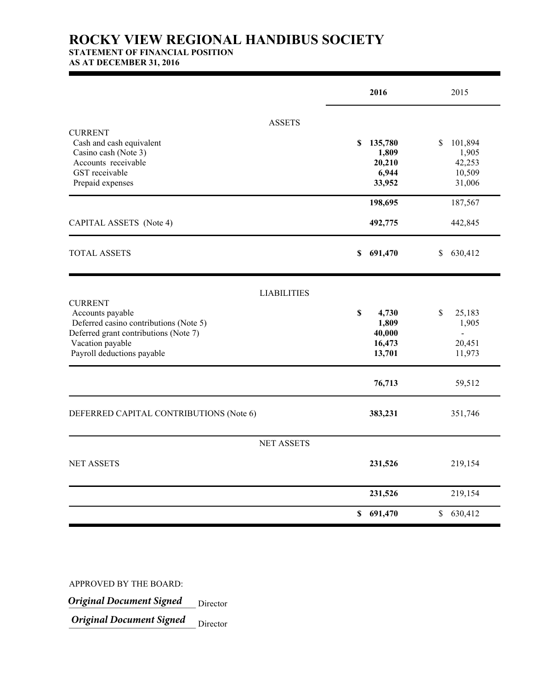# **STATEMENT OF FINANCIAL POSITION**

**AS AT DECEMBER 31, 2016**

|                                                                                                                                                                         | 2016                                                                      | 2015                                                                       |
|-------------------------------------------------------------------------------------------------------------------------------------------------------------------------|---------------------------------------------------------------------------|----------------------------------------------------------------------------|
| <b>ASSETS</b>                                                                                                                                                           |                                                                           |                                                                            |
| <b>CURRENT</b><br>Cash and cash equivalent<br>Casino cash (Note 3)<br>Accounts receivable<br>GST receivable<br>Prepaid expenses                                         | \$.<br>135,780<br>1,809<br>20,210<br>6,944<br>33,952                      | 101,894<br>\$.<br>1,905<br>42,253<br>10,509<br>31,006                      |
|                                                                                                                                                                         | 198,695                                                                   | 187,567                                                                    |
| CAPITAL ASSETS (Note 4)                                                                                                                                                 | 492,775                                                                   | 442,845                                                                    |
| <b>TOTAL ASSETS</b>                                                                                                                                                     | 691,470<br>\$                                                             | \$<br>630,412                                                              |
| <b>LIABILITIES</b>                                                                                                                                                      |                                                                           |                                                                            |
| <b>CURRENT</b><br>Accounts payable<br>Deferred casino contributions (Note 5)<br>Deferred grant contributions (Note 7)<br>Vacation payable<br>Payroll deductions payable | $\boldsymbol{\mathsf{S}}$<br>4,730<br>1,809<br>40,000<br>16,473<br>13,701 | $\boldsymbol{\mathsf{S}}$<br>25,183<br>1,905<br>$\sim$<br>20,451<br>11,973 |
|                                                                                                                                                                         | 76,713                                                                    | 59,512                                                                     |
| DEFERRED CAPITAL CONTRIBUTIONS (Note 6)                                                                                                                                 | 383,231                                                                   | 351,746                                                                    |
| <b>NET ASSETS</b>                                                                                                                                                       |                                                                           |                                                                            |
| <b>NET ASSETS</b>                                                                                                                                                       | 231,526                                                                   | 219,154                                                                    |
|                                                                                                                                                                         | 231,526                                                                   | 219,154                                                                    |
|                                                                                                                                                                         | 691,470<br>\$                                                             | \$<br>630,412                                                              |

APPROVED BY THE BOARD:

**Original Document Signed** Director

**Original Document Signed** Director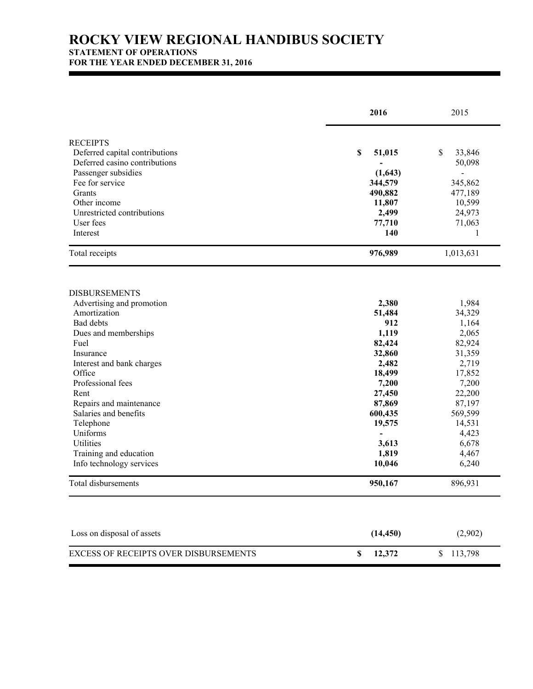# **ROCKY VIEW REGIONAL HANDIBUS SOCIETY STATEMENT OF OPERATIONS**

**FOR THE YEAR ENDED DECEMBER 31, 2016**

|                                       | 2016                                | 2015           |  |
|---------------------------------------|-------------------------------------|----------------|--|
| <b>RECEIPTS</b>                       |                                     |                |  |
| Deferred capital contributions        | $\boldsymbol{\mathsf{S}}$<br>51,015 | $\$$<br>33,846 |  |
| Deferred casino contributions         |                                     | 50,098         |  |
| Passenger subsidies                   | (1,643)                             | $\overline{a}$ |  |
| Fee for service                       | 344,579                             | 345,862        |  |
| Grants                                | 490,882                             | 477,189        |  |
| Other income                          | 11,807                              | 10,599         |  |
| Unrestricted contributions            | 2,499                               | 24,973         |  |
| User fees                             | 77,710                              | 71,063         |  |
| Interest                              | 140                                 | 1              |  |
| Total receipts                        | 976,989                             | 1,013,631      |  |
| <b>DISBURSEMENTS</b>                  |                                     |                |  |
| Advertising and promotion             | 2,380                               | 1,984          |  |
| Amortization                          | 51,484                              | 34,329         |  |
| <b>Bad</b> debts                      | 912                                 | 1,164          |  |
| Dues and memberships                  | 1,119                               | 2,065          |  |
| Fuel                                  | 82,424                              | 82,924         |  |
| Insurance                             | 32,860                              | 31,359         |  |
| Interest and bank charges             | 2,482                               | 2,719          |  |
| Office                                | 18,499                              | 17,852         |  |
| Professional fees                     | 7,200                               | 7,200          |  |
| Rent                                  | 27,450                              | 22,200         |  |
| Repairs and maintenance               | 87,869                              | 87,197         |  |
| Salaries and benefits                 | 600,435                             | 569,599        |  |
| Telephone                             | 19,575                              | 14,531         |  |
| Uniforms                              | $\qquad \qquad \blacksquare$        | 4,423          |  |
| Utilities                             | 3,613                               | 6,678          |  |
| Training and education                | 1,819                               | 4,467          |  |
| Info technology services              | 10,046                              | 6,240          |  |
| Total disbursements                   | 950,167                             | 896,931        |  |
| Loss on disposal of assets            | (14, 450)                           | (2,902)        |  |
|                                       |                                     |                |  |
| EXCESS OF RECEIPTS OVER DISBURSEMENTS | 12,372<br>$\mathbb S$               | 113,798<br>\$  |  |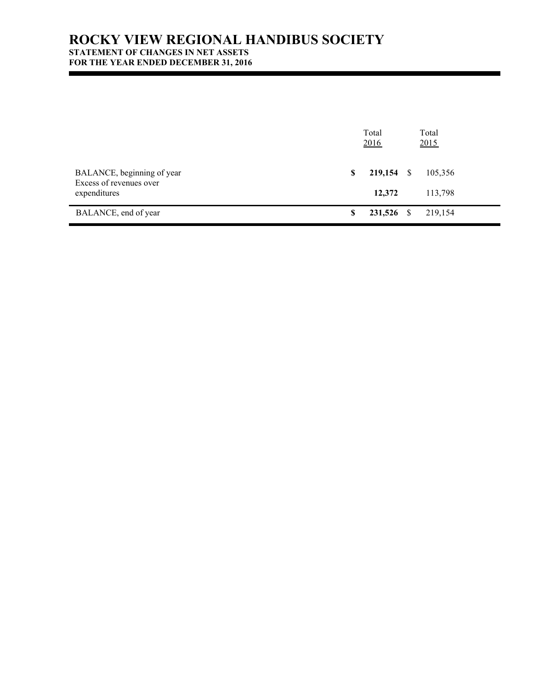## **STATEMENT OF CHANGES IN NET ASSETS FOR THE YEAR ENDED DECEMBER 31, 2016**

|                                                       |   | Total<br>2016 | Total<br>2015 |
|-------------------------------------------------------|---|---------------|---------------|
| BALANCE, beginning of year<br>Excess of revenues over | S | $219,154$ \$  | 105,356       |
| expenditures                                          |   | 12,372        | 113,798       |
| BALANCE, end of year                                  | S | 231,526 \$    | 219,154       |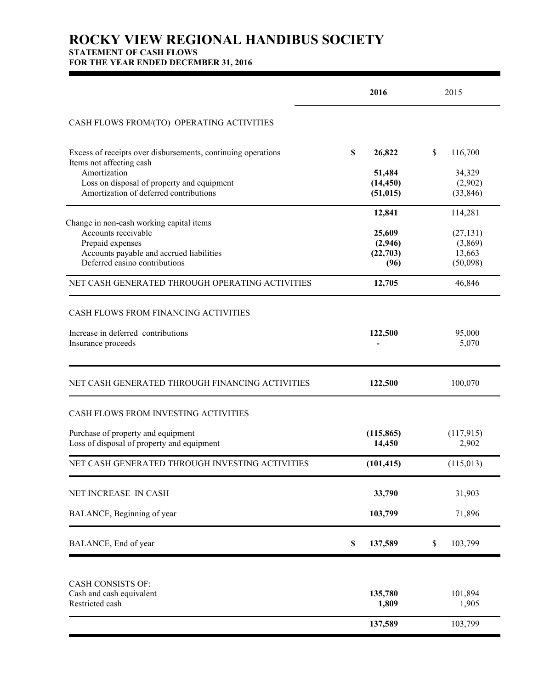# **STATEMENT OF CASH FLOWS**

**FOR THE YEAR ENDED DECEMBER 31, 2016**

|                                                                                                                                                                                                  | 2016                                                                    | 2015                                                  |
|--------------------------------------------------------------------------------------------------------------------------------------------------------------------------------------------------|-------------------------------------------------------------------------|-------------------------------------------------------|
| CASH FLOWS FROM/(TO) OPERATING ACTIVITIES                                                                                                                                                        |                                                                         |                                                       |
| Excess of receipts over disbursements, continuing operations<br>Items not affecting cash<br>Amortization<br>Loss on disposal of property and equipment<br>Amortization of deferred contributions | $\boldsymbol{\mathsf{S}}$<br>26,822<br>51,484<br>(14, 450)<br>(51, 015) | \$<br>116,700<br>34,329<br>(2,902)<br>(33, 846)       |
| Change in non-cash working capital items<br>Accounts receivable<br>Prepaid expenses<br>Accounts payable and accrued liabilities<br>Deferred casino contributions                                 | 12,841<br>25,609<br>(2,946)<br>(22,703)<br>(96)                         | 114,281<br>(27, 131)<br>(3,869)<br>13,663<br>(50,098) |
| NET CASH GENERATED THROUGH OPERATING ACTIVITIES                                                                                                                                                  | 12,705                                                                  | 46,846                                                |
| CASH FLOWS FROM FINANCING ACTIVITIES<br>Increase in deferred contributions<br>Insurance proceeds                                                                                                 | 122,500                                                                 | 95,000<br>5,070                                       |
| NET CASH GENERATED THROUGH FINANCING ACTIVITIES                                                                                                                                                  | 122,500                                                                 | 100,070                                               |
| CASH FLOWS FROM INVESTING ACTIVITIES                                                                                                                                                             |                                                                         |                                                       |
| Purchase of property and equipment<br>Loss of disposal of property and equipment                                                                                                                 | (115, 865)<br>14,450                                                    | (117,915)<br>2,902                                    |
| NET CASH GENERATED THROUGH INVESTING ACTIVITIES                                                                                                                                                  | (101, 415)                                                              | (115,013)                                             |
| NET INCREASE IN CASH<br>BALANCE, Beginning of year                                                                                                                                               | 33,790<br>103,799                                                       | 31,903<br>71,896                                      |
| BALANCE, End of year                                                                                                                                                                             | 137,589<br>\$                                                           | 103,799<br>\$                                         |
| <b>CASH CONSISTS OF:</b><br>Cash and cash equivalent<br>Restricted cash                                                                                                                          | 135,780<br>1,809                                                        | 101,894<br>1,905                                      |
|                                                                                                                                                                                                  | 137,589                                                                 | 103,799                                               |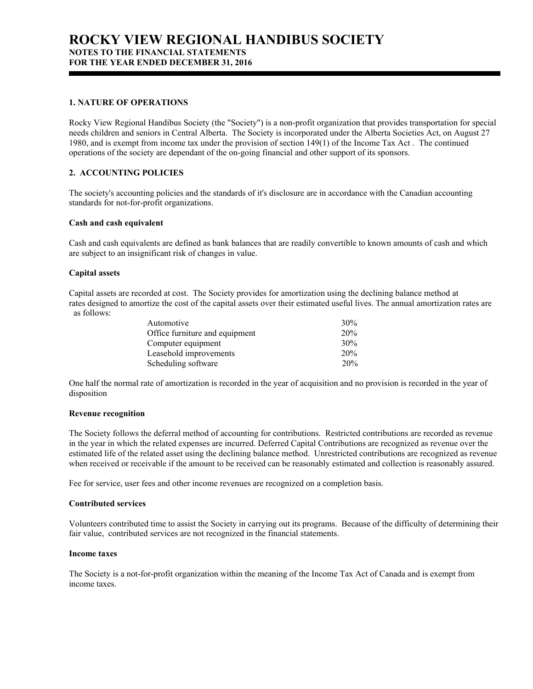# **ROCKY VIEW REGIONAL HANDIBUS SOCIETY NOTES TO THE FINANCIAL STATEMENTS FOR THE YEAR ENDED DECEMBER 31, 2016**

### **1. NATURE OF OPERATIONS**

Rocky View Regional Handibus Society (the "Society") is a non-profit organization that provides transportation for special needs children and seniors in Central Alberta. The Society is incorporated under the Alberta Societies Act, on August 27 1980, and is exempt from income tax under the provision of section 149(1) of the Income Tax Act . The continued operations of the society are dependant of the on-going financial and other support of its sponsors.

## **2. ACCOUNTING POLICIES**

The society's accounting policies and the standards of it's disclosure are in accordance with the Canadian accounting standards for not-for-profit organizations.

#### **Cash and cash equivalent**

Cash and cash equivalents are defined as bank balances that are readily convertible to known amounts of cash and which are subject to an insignificant risk of changes in value.

#### **Capital assets**

Capital assets are recorded at cost. The Society provides for amortization using the declining balance method at rates designed to amortize the cost of the capital assets over their estimated useful lives. The annual amortization rates are as follows:

| Automotive                     | 30% |
|--------------------------------|-----|
| Office furniture and equipment | 20% |
| Computer equipment             | 30% |
| Leasehold improvements         | 20% |
| Scheduling software            | 20% |

One half the normal rate of amortization is recorded in the year of acquisition and no provision is recorded in the year of disposition

#### **Revenue recognition**

The Society follows the deferral method of accounting for contributions. Restricted contributions are recorded as revenue in the year in which the related expenses are incurred. Deferred Capital Contributions are recognized as revenue over the estimated life of the related asset using the declining balance method. Unrestricted contributions are recognized as revenue when received or receivable if the amount to be received can be reasonably estimated and collection is reasonably assured.

Fee for service, user fees and other income revenues are recognized on a completion basis.

#### **Contributed services**

Volunteers contributed time to assist the Society in carrying out its programs. Because of the difficulty of determining their fair value, contributed services are not recognized in the financial statements.

#### **Income taxes**

The Society is a not-for-profit organization within the meaning of the Income Tax Act of Canada and is exempt from income taxes.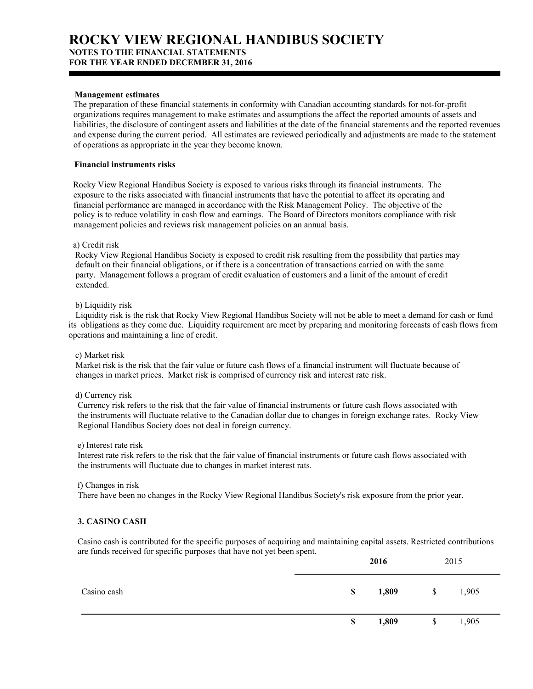# **ROCKY VIEW REGIONAL HANDIBUS SOCIETY NOTES TO THE FINANCIAL STATEMENTS FOR THE YEAR ENDED DECEMBER 31, 2016**

#### **Management estimates**

The preparation of these financial statements in conformity with Canadian accounting standards for not-for-profit organizations requires management to make estimates and assumptions the affect the reported amounts of assets and liabilities, the disclosure of contingent assets and liabilities at the date of the financial statements and the reported revenues and expense during the current period. All estimates are reviewed periodically and adjustments are made to the statement of operations as appropriate in the year they become known.

#### **Financial instruments risks**

 Rocky View Regional Handibus Society is exposed to various risks through its financial instruments. The exposure to the risks associated with financial instruments that have the potential to affect its operating and financial performance are managed in accordance with the Risk Management Policy. The objective of the policy is to reduce volatility in cash flow and earnings. The Board of Directors monitors compliance with risk management policies and reviews risk management policies on an annual basis.

#### a) Credit risk

 Rocky View Regional Handibus Society is exposed to credit risk resulting from the possibility that parties may default on their financial obligations, or if there is a concentration of transactions carried on with the same party. Management follows a program of credit evaluation of customers and a limit of the amount of credit extended.

b) Liquidity risk

 Liquidity risk is the risk that Rocky View Regional Handibus Society will not be able to meet a demand for cash or fund its obligations as they come due. Liquidity requirement are meet by preparing and monitoring forecasts of cash flows from operations and maintaining a line of credit.

#### c) Market risk

 Market risk is the risk that the fair value or future cash flows of a financial instrument will fluctuate because of changes in market prices. Market risk is comprised of currency risk and interest rate risk.

#### d) Currency risk

 Currency risk refers to the risk that the fair value of financial instruments or future cash flows associated with the instruments will fluctuate relative to the Canadian dollar due to changes in foreign exchange rates. Rocky View Regional Handibus Society does not deal in foreign currency.

#### e) Interest rate risk

 Interest rate risk refers to the risk that the fair value of financial instruments or future cash flows associated with the instruments will fluctuate due to changes in market interest rats.

#### f) Changes in risk

There have been no changes in the Rocky View Regional Handibus Society's risk exposure from the prior year.

#### **3. CASINO CASH**

 Casino cash is contributed for the specific purposes of acquiring and maintaining capital assets. Restricted contributions are funds received for specific purposes that have not yet been spent.

|             | 2016        |    | 2015  |  |
|-------------|-------------|----|-------|--|
| Casino cash | \$<br>1,809 | \$ | 1,905 |  |
|             | \$<br>1,809 | \$ | 1,905 |  |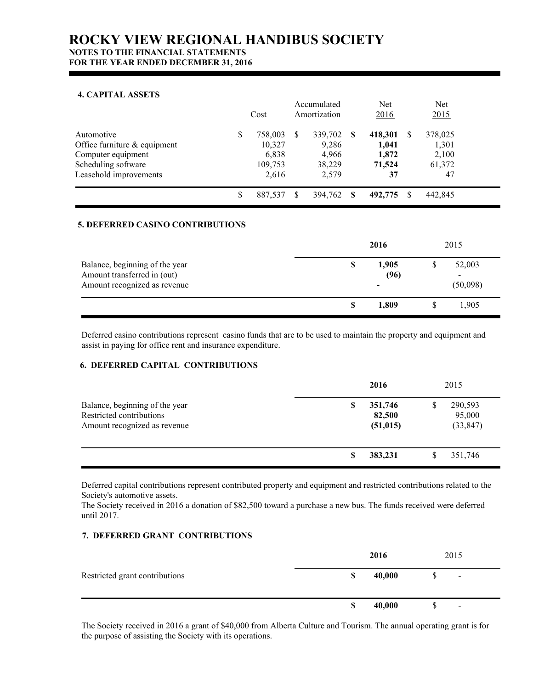# **ROCKY VIEW REGIONAL HANDIBUS SOCIETY NOTES TO THE FINANCIAL STATEMENTS FOR THE YEAR ENDED DECEMBER 31, 2016**

## **4. CAPITAL ASSETS**

|                                 | Cost |         | Accumulated<br>Amortization |            | Net<br>2016 |         | Net<br>2015 |         |  |  |
|---------------------------------|------|---------|-----------------------------|------------|-------------|---------|-------------|---------|--|--|
| Automotive                      |      | 758,003 |                             | 339,702 \$ |             | 418,301 |             | 378,025 |  |  |
| Office furniture $\&$ equipment |      | 10,327  |                             | 9.286      |             | 1,041   |             | 1,301   |  |  |
| Computer equipment              |      | 6,838   |                             | 4,966      |             | 1,872   |             | 2,100   |  |  |
| Scheduling software             |      | 109,753 |                             | 38,229     |             | 71,524  |             | 61,372  |  |  |
| Leasehold improvements          |      | 2,616   |                             | 2,579      |             | 37      |             | 47      |  |  |
|                                 |      | 887,537 |                             | 394.762 \$ |             | 492,775 |             | 442,845 |  |  |

### **5. DEFERRED CASINO CONTRIBUTIONS**

|                                                                                               | 2016 |                                           |  | 2015                                           |
|-----------------------------------------------------------------------------------------------|------|-------------------------------------------|--|------------------------------------------------|
| Balance, beginning of the year<br>Amount transferred in (out)<br>Amount recognized as revenue | \$   | 1,905<br>(96)<br>$\overline{\phantom{0}}$ |  | 52,003<br>$\overline{\phantom{0}}$<br>(50,098) |
|                                                                                               | \$   | 1,809                                     |  | 1,905                                          |

Deferred casino contributions represent casino funds that are to be used to maintain the property and equipment and assist in paying for office rent and insurance expenditure.

# **6. DEFERRED CAPITAL CONTRIBUTIONS**

|                                                                                            |                                     | 2016    | 2015                           |
|--------------------------------------------------------------------------------------------|-------------------------------------|---------|--------------------------------|
| Balance, beginning of the year<br>Restricted contributions<br>Amount recognized as revenue | 351,746<br>S<br>82,500<br>(51, 015) |         | 290,593<br>95,000<br>(33, 847) |
|                                                                                            | \$                                  | 383,231 | 351,746                        |

Deferred capital contributions represent contributed property and equipment and restricted contributions related to the Society's automotive assets.

The Society received in 2016 a donation of \$82,500 toward a purchase a new bus. The funds received were deferred until 2017.

### **7. DEFERRED GRANT CONTRIBUTIONS**

|                                |    | 2016   | 2015                     |  |
|--------------------------------|----|--------|--------------------------|--|
| Restricted grant contributions | S  | 40,000 | $\blacksquare$           |  |
|                                | -S | 40,000 | $\overline{\phantom{a}}$ |  |

The Society received in 2016 a grant of \$40,000 from Alberta Culture and Tourism. The annual operating grant is for the purpose of assisting the Society with its operations.